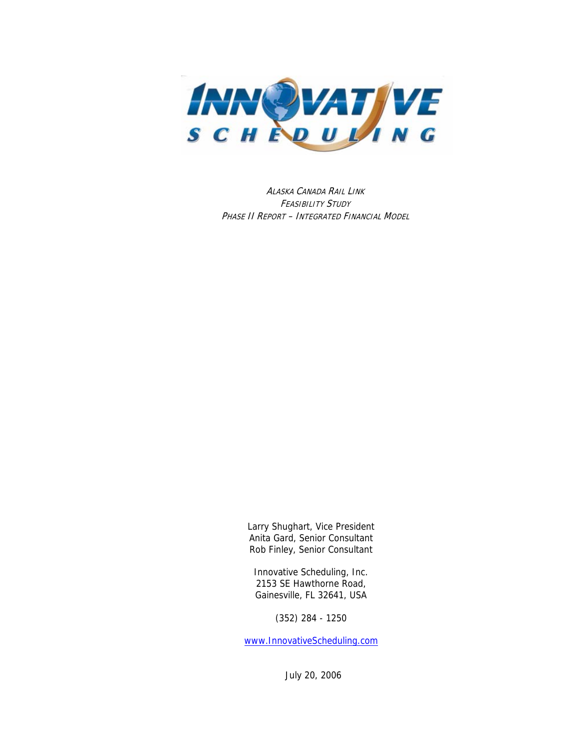

I PHASE II REPORT – NTEGRATED FINANCIAL MODEL ALASKA CANADA RAIL LINK FEASIBILITY STUDY

> Larry Shughart, Vice President Anita Gard, Senior Consultant Rob Finley, Senior Consultant

Innovative Scheduling, Inc. 2153 SE Hawthorne Road, Gainesville, FL 32641, USA

(352) 284 - 1250

[www.InnovativeScheduling.com](http://www.innovativescheduling.com/)

July 20, 2006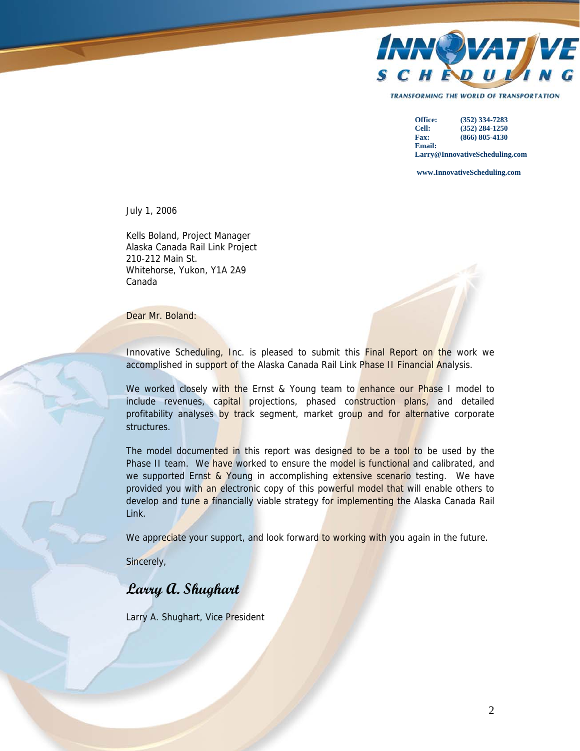

**TRANSFORMING THE WORLD OF TRANSPORTATION** 

**Office: (352) 334-7283 Cell: (352) 284-1250 Fax: (866) 805-4130 Email: Larry@InnovativeScheduling.com**

 **www.InnovativeScheduling.com**

July 1, 2006

Kells Boland, Project Manager Alaska Canada Rail Link Project 210-212 Main St. Whitehorse, Yukon, Y1A 2A9 Canada

Dear Mr. Boland:

Innovative Scheduling, Inc. is pleased to submit this **Final Report on the work we** accomplished in support of the Alaska Canada Rail Link Phase II Financial Analysis.

We worked closely with the Ernst & Young team to enhance our Phase I model to include revenues, capital projections, phased construction plans, and detailed profitability analyses by track segment, market group and for alternative corporate structures.

The model documented in this report was designed to be a tool to be used by the Phase II team. We have worked to ensure the model is functional and calibrated, and we supported Ernst & Young in accomplishing extensive scenario testing. We have provided you with an electronic copy of this powerful model that will enable others to develop and tune a financially viable strategy for implementing the Alaska Canada Rail Link.

We appreciate your support, and look forward to working with you again in the future.

Sincerely,

## **Larry A. Shughart**

Larry A. Shughart, Vice President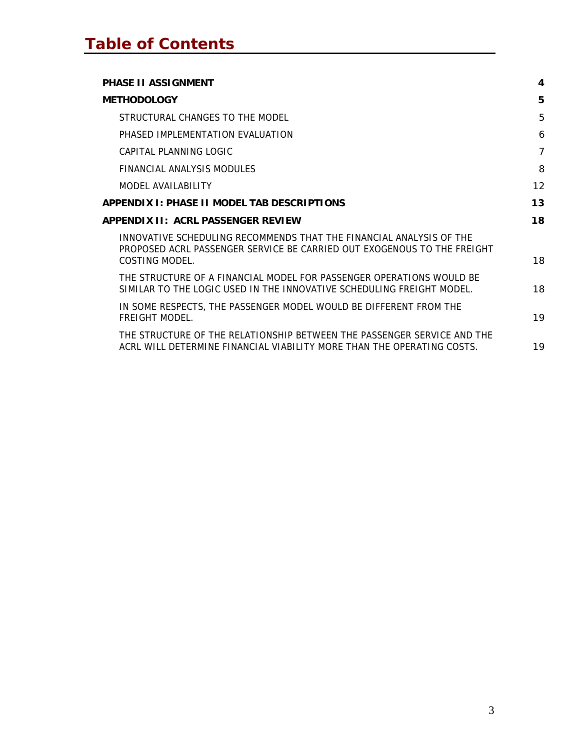| <b>PHASE II ASSIGNMENT</b>                                                                                                                        | 4              |
|---------------------------------------------------------------------------------------------------------------------------------------------------|----------------|
| <b>METHODOLOGY</b>                                                                                                                                | 5              |
| STRUCTURAL CHANGES TO THE MODEL                                                                                                                   | 5              |
| PHASED IMPLEMENTATION EVALUATION                                                                                                                  | 6              |
| CAPITAL PLANNING LOGIC                                                                                                                            | $\overline{7}$ |
| FINANCIAL ANALYSIS MODULES                                                                                                                        | 8              |
| MODEL AVAILABILITY                                                                                                                                | 12             |
| APPENDIX I: PHASE II MODEL TAB DESCRIPTIONS                                                                                                       | 13             |
| <b>APPENDIX II: ACRL PASSENGER REVIEW</b>                                                                                                         | 18             |
| INNOVATIVE SCHEDULING RECOMMENDS THAT THE FINANCIAL ANALYSIS OF THE<br>PROPOSED ACRL PASSENGER SERVICE BE CARRIED OUT EXOGENOUS TO THE FREIGHT    |                |
| COSTING MODEL.                                                                                                                                    | 18             |
| THE STRUCTURE OF A FINANCIAL MODEL FOR PASSENGER OPERATIONS WOULD BE<br>SIMILAR TO THE LOGIC USED IN THE INNOVATIVE SCHEDULING FREIGHT MODEL.     | 18             |
| IN SOME RESPECTS, THE PASSENGER MODEL WOULD BE DIFFERENT FROM THE<br>FREIGHT MODEL.                                                               | 19             |
| THE STRUCTURE OF THE RELATIONSHIP BETWEEN THE PASSENGER SERVICE AND THE<br>ACRL WILL DETERMINE FINANCIAL VIABILITY MORE THAN THE OPERATING COSTS. | 19             |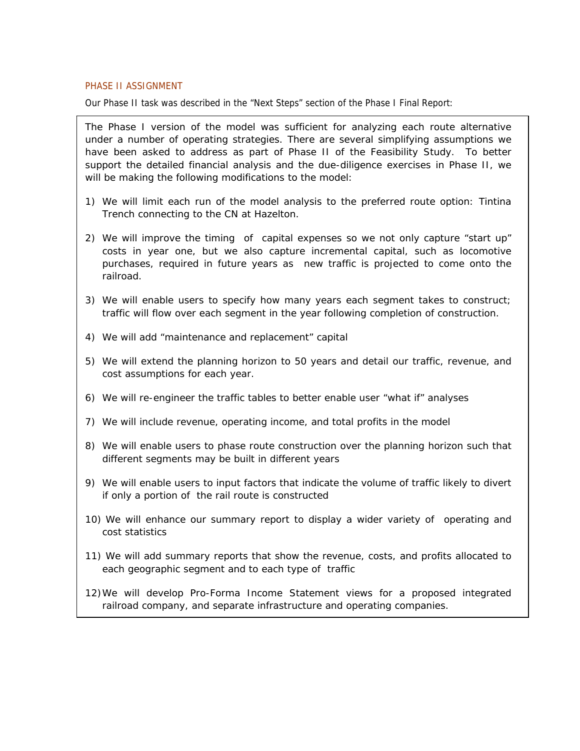#### <span id="page-3-0"></span>PHASE II ASSIGNMENT

Our Phase II task was described in the "Next Steps" section of the Phase I Final Report:

The Phase I version of the model was sufficient for analyzing each route alternative under a number of operating strategies. There are several simplifying assumptions we have been asked to address as part of Phase II of the Feasibility Study. To better support the detailed financial analysis and the due-diligence exercises in Phase II, we will be making the following modifications to the model:

- 1) We will limit each run of the model analysis to the preferred route option: Tintina Trench connecting to the CN at Hazelton.
- 2) We will improve the timing of capital expenses so we not only capture "start up" costs in year one, but we also capture incremental capital, such as locomotive purchases, required in future years as new traffic is projected to come onto the railroad.
- 3) We will enable users to specify how many years each segment takes to construct; traffic will flow over each segment in the year following completion of construction.
- 4) We will add "maintenance and replacement" capital
- 5) We will extend the planning horizon to 50 years and detail our traffic, revenue, and cost assumptions for each year.
- 6) We will re-engineer the traffic tables to better enable user "what if" analyses
- 7) We will include revenue, operating income, and total profits in the model
- 8) We will enable users to phase route construction over the planning horizon such that different segments may be built in different years
- 9) We will enable users to input factors that indicate the volume of traffic likely to divert if only a portion of the rail route is constructed
- 10) We will enhance our summary report to display a wider variety of operating and cost statistics
- 11) We will add summary reports that show the revenue, costs, and profits allocated to each geographic segment and to each type of traffic
- 12)We will develop Pro-Forma Income Statement views for a proposed integrated railroad company, and separate infrastructure and operating companies.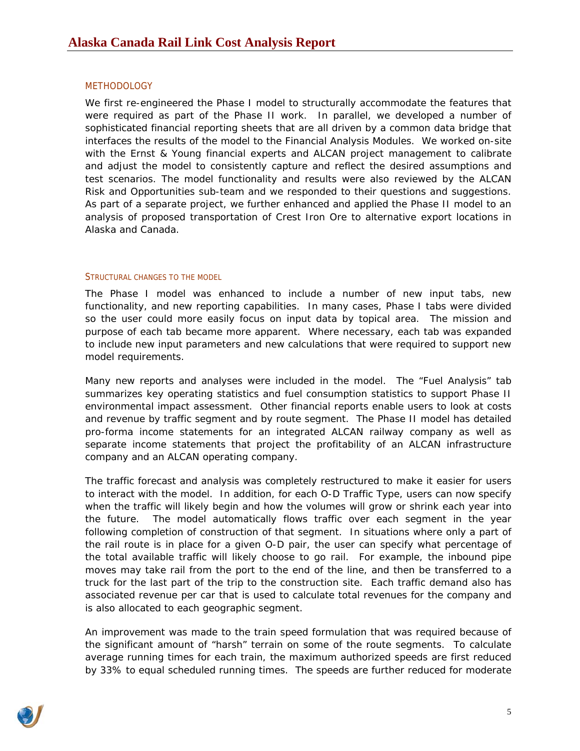## <span id="page-4-0"></span>**METHODOLOGY**

We first re-engineered the Phase I model to structurally accommodate the features that were required as part of the Phase II work. In parallel, we developed a number of sophisticated financial reporting sheets that are all driven by a common data bridge that interfaces the results of the model to the Financial Analysis Modules. We worked on-site with the Ernst & Young financial experts and ALCAN project management to calibrate and adjust the model to consistently capture and reflect the desired assumptions and test scenarios. The model functionality and results were also reviewed by the ALCAN Risk and Opportunities sub-team and we responded to their questions and suggestions. As part of a separate project, we further enhanced and applied the Phase II model to an analysis of proposed transportation of Crest Iron Ore to alternative export locations in Alaska and Canada.

## STRUCTURAL CHANGES TO THE MODEL

The Phase I model was enhanced to include a number of new input tabs, new functionality, and new reporting capabilities. In many cases, Phase I tabs were divided so the user could more easily focus on input data by topical area. The mission and purpose of each tab became more apparent. Where necessary, each tab was expanded to include new input parameters and new calculations that were required to support new model requirements.

Many new reports and analyses were included in the model. The "Fuel Analysis" tab summarizes key operating statistics and fuel consumption statistics to support Phase II environmental impact assessment. Other financial reports enable users to look at costs and revenue by traffic segment and by route segment. The Phase II model has detailed pro-forma income statements for an integrated ALCAN railway company as well as separate income statements that project the profitability of an ALCAN infrastructure company and an ALCAN operating company.

The traffic forecast and analysis was completely restructured to make it easier for users to interact with the model. In addition, for each O-D Traffic Type, users can now specify when the traffic will likely begin and how the volumes will grow or shrink each year into the future. The model automatically flows traffic over each segment in the year following completion of construction of that segment. In situations where only a part of the rail route is in place for a given O-D pair, the user can specify what percentage of the total available traffic will likely choose to go rail. For example, the inbound pipe moves may take rail from the port to the end of the line, and then be transferred to a truck for the last part of the trip to the construction site. Each traffic demand also has associated revenue per car that is used to calculate total revenues for the company and is also allocated to each geographic segment.

An improvement was made to the train speed formulation that was required because of the significant amount of "harsh" terrain on some of the route segments. To calculate average running times for each train, the maximum authorized speeds are first reduced by 33% to equal scheduled running times. The speeds are further reduced for moderate

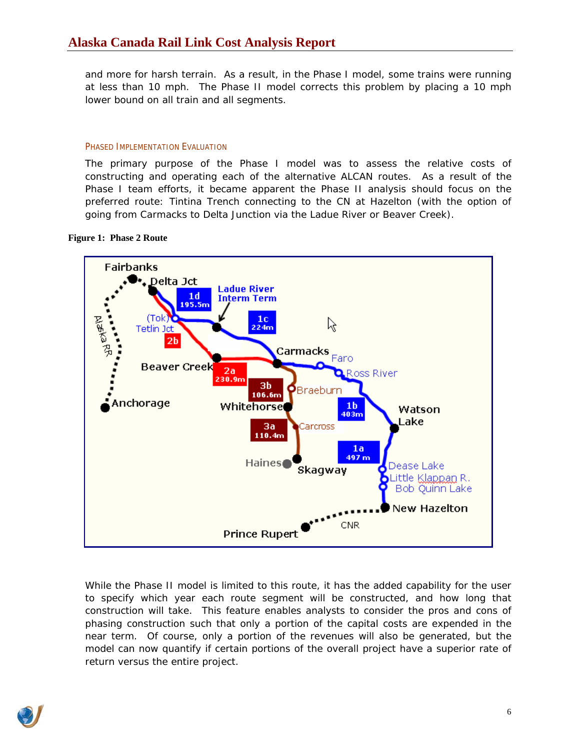<span id="page-5-0"></span>and more for harsh terrain. As a result, in the Phase I model, some trains were running at less than 10 mph. The Phase II model corrects this problem by placing a 10 mph lower bound on all train and all segments.

## PHASED IMPLEMENTATION EVALUATION

The primary purpose of the Phase I model was to assess the relative costs of constructing and operating each of the alternative ALCAN routes. As a result of the Phase I team efforts, it became apparent the Phase II analysis should focus on the preferred route: Tintina Trench connecting to the CN at Hazelton (with the option of going from Carmacks to Delta Junction via the Ladue River or Beaver Creek).

## <span id="page-5-1"></span>**Figure 1: Phase 2 Route**



model can now quantify if certain portions of the overall project have a superior rate of return versus the entire project. While the Phase II model is limited to this route, it has the added capability for the user to specify which year each route segment will be constructed, and how long that construction will take. This feature enables analysts to consider the pros and cons of phasing construction such that only a portion of the capital costs are expended in the near term. Of course, only a portion of the revenues will also be generated, but the

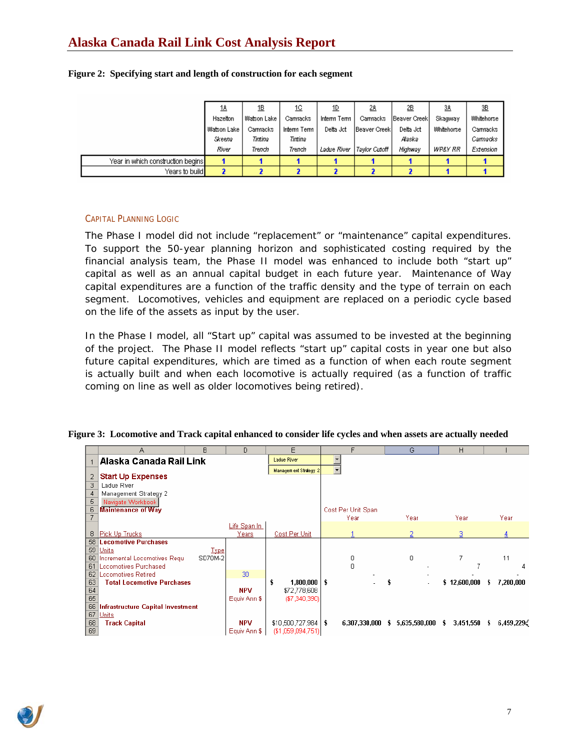# <span id="page-6-0"></span>**Alaska Canada Rail Link Cost Analysis Report**

|                                                  | <u>18</u>   | <u>1B</u>       | 1C          | <u>1D</u>   | <u>28</u>            | 2B            | 3A                | 3B         |
|--------------------------------------------------|-------------|-----------------|-------------|-------------|----------------------|---------------|-------------------|------------|
|                                                  | Hazelton    | Watson Lake     | Carmacks    | Interm Term | Carmacks             | Beaver Creekl | Skagway           | Whitehorse |
|                                                  | Watson Lake | <b>Carmacks</b> | Interm Term | Delta Jot   | <b>IBeaver Creek</b> | Delta Jot     | <b>Whitehorse</b> | Carmacks   |
|                                                  | Skeena      | Tintina         | Tintina     |             |                      | Alaska        |                   | Carmacks   |
|                                                  | River       | Trench          | Trench      | Ladue River | Tavlor Cutoff        | Highway       | WP&Y RR           | Extension  |
| Year in which construction begins <mark>I</mark> |             |                 |             |             |                      |               |                   |            |
| Years to build <mark>l</mark>                    |             |                 |             |             |                      |               |                   |            |

#### **Figure 2: Specifying start and length of construction for each segment**

## CAPITAL PLANNING LOGIC

The Phase I model did not include "replacement" or "maintenance" capital expenditures. To support the 50-year planning horizon and sophisticated costing required by the financial analysis team, the Phase II model was enhanced to include both "start up" capital as well as an annual capital budget in each future year. Maintenance of Way capital expenditures are a function of the traffic density and the type of terrain on each segment. Locomotives, vehicles and equipment are replaced on a periodic cycle based on the life of the assets as input by the user.

In the Phase I model, all "Start up" capital was assumed to be invested at the beginning of the project. The Phase II model reflects "start up" capital costs in year one but also future capital expenditures, which are timed as a function of when each route segment is actually built and when each locomotive is actually required (as a function of traffic coming on line as well as older locomotives being retired).

|    | А                                 | B           | D            | E                      | F                        | G                   | H                    |                 |
|----|-----------------------------------|-------------|--------------|------------------------|--------------------------|---------------------|----------------------|-----------------|
|    | Alaska Canada Rail Link           |             |              | Ladue River            |                          |                     |                      |                 |
|    |                                   |             |              | Management Strategy 2  | $\overline{\phantom{a}}$ |                     |                      |                 |
| 2  | <b>Start Up Expenses</b>          |             |              |                        |                          |                     |                      |                 |
| 3  | Ladue River                       |             |              |                        |                          |                     |                      |                 |
| 4  | Management Strategy 2             |             |              |                        |                          |                     |                      |                 |
| 5  | Navigate Workbook                 |             |              |                        |                          |                     |                      |                 |
| 6  | <b>Maintenance of Way</b>         |             |              |                        | Cost Per Unit Span       |                     |                      |                 |
|    |                                   |             |              |                        | Year                     | Year                | Year                 | Year            |
|    |                                   |             | Life Span In |                        |                          |                     |                      |                 |
| 8  | Pick Up Trucks                    |             | Years        | Cost Per Unit          |                          |                     | з                    |                 |
| 58 | <b>Locomotive Purchases</b>       |             |              |                        |                          |                     |                      |                 |
| 59 | Units                             | <b>Type</b> |              |                        |                          |                     |                      |                 |
| 60 | Incremental Locomotives Requ      | SD70M-2     |              |                        | 0                        | 0                   | 7                    | 11              |
| 61 | Locomotives Purchased             |             |              |                        | $\Box$                   |                     |                      |                 |
| 62 | Locomotives Retired               |             | 30           |                        |                          |                     |                      |                 |
| 63 | <b>Total Locomotive Purchases</b> |             |              | $1,800,000$   \$<br>\$ |                          |                     | \$12,600,000         | 7,200,000<br>÷. |
| 64 |                                   |             | <b>NPV</b>   | \$72,778,608           |                          |                     |                      |                 |
| 65 |                                   |             | Equiv Ann \$ | $(\$7,340,390)$        |                          |                     |                      |                 |
| 66 | Infrastructure Capital Investment |             |              |                        |                          |                     |                      |                 |
| 67 | Units                             |             |              |                        |                          |                     |                      |                 |
| 68 | <b>Track Capital</b>              |             | <b>NPV</b>   | $$10,500,727,984$   \$ | 6,307,330,000            | 5,635,580,000<br>s. | $3,451,550$ \$<br>s. | 6,459,229       |
| 69 |                                   |             | Equiv Ann \$ | (\$1,059,094,751)]     |                          |                     |                      |                 |

#### **Figure 3: Locomotive and Track capital enhanced to consider life cycles and when assets are actually needed**

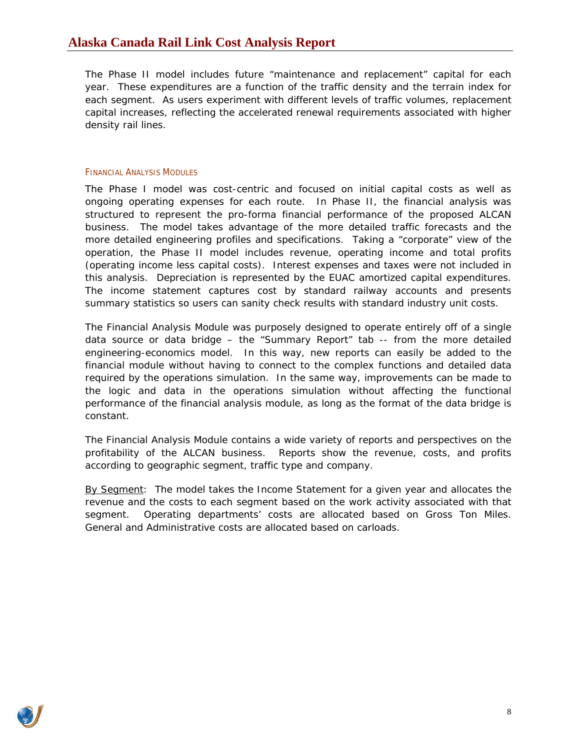<span id="page-7-0"></span>The Phase II model includes future "maintenance and replacement" capital for each year. These expenditures are a function of the traffic density and the terrain index for each segment. As users experiment with different levels of traffic volumes, replacement capital increases, reflecting the accelerated renewal requirements associated with higher density rail lines.

## FINANCIAL ANALYSIS MODULES

The Phase I model was cost-centric and focused on initial capital costs as well as ongoing operating expenses for each route. In Phase II, the financial analysis was structured to represent the pro-forma financial performance of the proposed ALCAN business. The model takes advantage of the more detailed traffic forecasts and the more detailed engineering profiles and specifications. Taking a "corporate" view of the operation, the Phase II model includes revenue, operating income and total profits (operating income less capital costs). Interest expenses and taxes were not included in this analysis. Depreciation is represented by the EUAC amortized capital expenditures. The income statement captures cost by standard railway accounts and presents summary statistics so users can sanity check results with standard industry unit costs.

The Financial Analysis Module was purposely designed to operate entirely off of a single data source or data bridge – the "Summary Report" tab -- from the more detailed engineering-economics model. In this way, new reports can easily be added to the financial module without having to connect to the complex functions and detailed data required by the operations simulation. In the same way, improvements can be made to the logic and data in the operations simulation without affecting the functional performance of the financial analysis module, as long as the format of the data bridge is constant.

The Financial Analysis Module contains a wide variety of reports and perspectives on the profitability of the ALCAN business. Reports show the revenue, costs, and profits according to geographic segment, traffic type and company.

By Segment: The model takes the Income Statement for a given year and allocates the revenue and the costs to each segment based on the work activity associated with that segment. Operating departments' costs are allocated based on Gross Ton Miles. General and Administrative costs are allocated based on carloads.

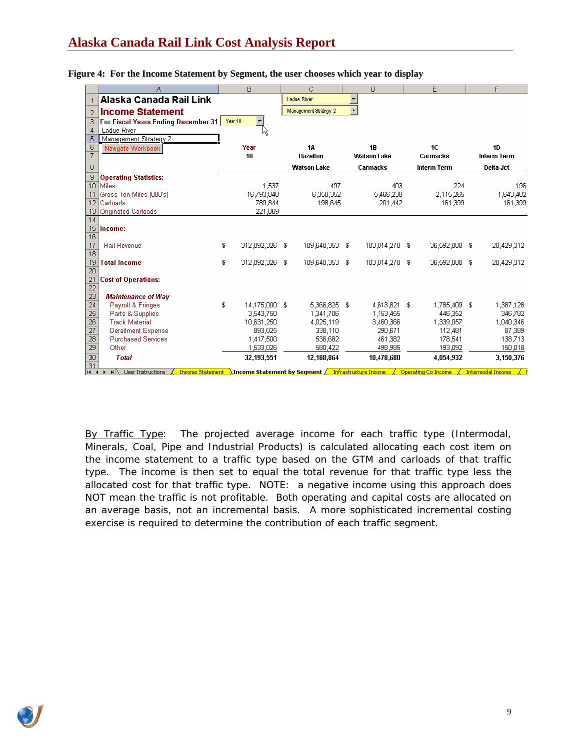|                 | А                                                                                                              | B.                   | C.                    | D                                                                     | E                     | F                  |
|-----------------|----------------------------------------------------------------------------------------------------------------|----------------------|-----------------------|-----------------------------------------------------------------------|-----------------------|--------------------|
| $\mathbf{1}$    | Alaska Canada Rail Link                                                                                        |                      | Ladue River           |                                                                       |                       |                    |
| $\overline{2}$  | <b>Income Statement</b>                                                                                        |                      | Management Strategy 2 |                                                                       |                       |                    |
| 3               | For Fiscal Years Ending December 31   Year 10                                                                  |                      |                       |                                                                       |                       |                    |
| 4               | Ladue River                                                                                                    |                      |                       |                                                                       |                       |                    |
| 5               | Management Strategy 2                                                                                          |                      |                       |                                                                       |                       |                    |
| 6               | Navigate Workbook                                                                                              | Year                 | <b>1A</b>             | 1B                                                                    | 1C                    | 1D                 |
| $\overline{7}$  |                                                                                                                | 10                   | Hazelton              | <b>Watson Lake</b>                                                    | Carmacks              | <b>Interm Term</b> |
| 8               |                                                                                                                |                      | <b>Watson Lake</b>    | Carmacks                                                              | <b>Interm Term</b>    | Delta Jct          |
| 9               | <b>Operating Statistics:</b>                                                                                   |                      |                       |                                                                       |                       |                    |
| 10              | <b>Miles</b>                                                                                                   | 1,537                |                       | 497                                                                   | 403<br>224            | 196                |
|                 | Gross Ton Miles (000's)                                                                                        | 16,793,848           | 6,358,352             | 5,466,230                                                             | 2,115,265             | 1,643,402          |
| 12              | Carloads                                                                                                       | 789,844              | 198,645               | 201,442                                                               | 161,399               | 161,399            |
| 13              | Originated Carloads                                                                                            | 221,069              |                       |                                                                       |                       |                    |
| 14              |                                                                                                                |                      |                       |                                                                       |                       |                    |
| 15              | Income:                                                                                                        |                      |                       |                                                                       |                       |                    |
| 16<br>17        | <b>Rail Revenue</b>                                                                                            | 312,092,326 \$<br>s  | 109,640,353           | 103,014,270 \$<br>F                                                   | 36,592,088 \$         | 28,429,312         |
| 18              |                                                                                                                |                      |                       |                                                                       |                       |                    |
| 19              | <b>Total Income</b>                                                                                            | \$<br>312,092,326 \$ | 109,640,353           | 103,014,270 \$<br>-S                                                  | 36,592,088 \$         | 28,429,312         |
| 20              |                                                                                                                |                      |                       |                                                                       |                       |                    |
| 21              | <b>Cost of Operations:</b>                                                                                     |                      |                       |                                                                       |                       |                    |
| $\overline{22}$ |                                                                                                                |                      |                       |                                                                       |                       |                    |
| 23              | <b>Maintenance of Way</b>                                                                                      |                      |                       |                                                                       |                       |                    |
| 24              | Payroll & Fringes                                                                                              | \$<br>14.175.000 \$  | 5,366,825 \$          | 4,613,821 \$                                                          | 1,785,409 \$          | 1,387,128          |
| 25              | Parts & Supplies                                                                                               | 3.543.750            | 1,341,706             | 1.153.455                                                             | 446.352               | 346,782            |
| $\overline{26}$ | <b>Track Material</b>                                                                                          | 10,631,250           | 4,025,119             | 3.460.366                                                             | 1,339,057             | 1,040,346          |
| 27              | <b>Derailment Expense</b>                                                                                      | 893,025              | 338,110               | 290,671                                                               | 112,481               | 87,389             |
| 28              | <b>Purchased Services</b>                                                                                      | 1,417,500            | 536,682               | 461,382                                                               | 178,541               | 138,713            |
| 29              | Other                                                                                                          | 1,533,026            | 580,422               | 498,985                                                               | 193,092               | 150,018            |
| 30              | <b>Total</b>                                                                                                   | 32,193,551           | 12,188,864            | 10,478,680                                                            | 4,054,932             | 3,150,376          |
| 31              | <b>Income Statement</b><br>$\begin{bmatrix} 14 & 4 & \rightarrow & \mathbf{H} \end{bmatrix}$ User Instructions |                      |                       | Income Statement by Segment $\sqrt{\phantom{a}$ Infrastructure Income | √ Operating Co Income | Intermodal Income  |

#### **Figure 4: For the Income Statement by Segment, the user chooses which year to display**

By Traffic Type: The projected average income for each traffic type (Intermodal, Minerals, Coal, Pipe and Industrial Products) is calculated allocating each cost item on the income statement to a traffic type based on the GTM and carloads of that traffic type. The income is then set to equal the total revenue for that traffic type less the allocated cost for that traffic type. NOTE: a negative income using this approach does NOT mean the traffic is not profitable. Both operating and capital costs are allocated on an average basis, not an incremental basis. A more sophisticated incremental costing exercise is required to determine the contribution of each traffic segment.

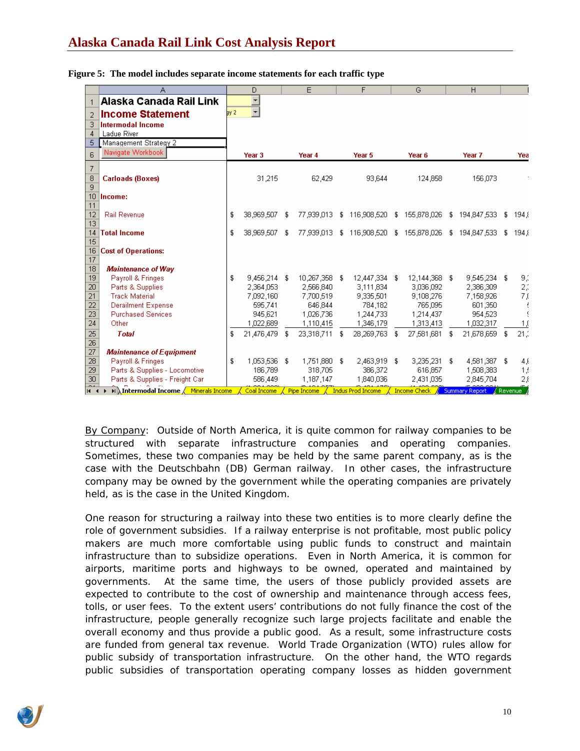## **Alaska Canada Rail Link Cost Analysis Report**

|                 | Α                                     |      | D                        |    | E                                                                                |    | F                       |   | G                                        |   | H                         |    |                        |
|-----------------|---------------------------------------|------|--------------------------|----|----------------------------------------------------------------------------------|----|-------------------------|---|------------------------------------------|---|---------------------------|----|------------------------|
|                 | Alaska Canada Rail Link               |      | $\overline{\phantom{a}}$ |    |                                                                                  |    |                         |   |                                          |   |                           |    |                        |
| $\overline{2}$  | <b>Income Statement</b>               | bv 2 | $\overline{\phantom{a}}$ |    |                                                                                  |    |                         |   |                                          |   |                           |    |                        |
| З               | Intermodal Income                     |      |                          |    |                                                                                  |    |                         |   |                                          |   |                           |    |                        |
| $\overline{4}$  | <b>Ladue River</b>                    |      |                          |    |                                                                                  |    |                         |   |                                          |   |                           |    |                        |
| 5               | Management Strategy 2                 |      |                          |    |                                                                                  |    |                         |   |                                          |   |                           |    |                        |
| 6               | Navigate Workbook                     |      | Year <sub>3</sub>        |    | Year <sub>4</sub>                                                                |    | Year 5                  |   | Year 6                                   |   | Year 7                    |    | Yea                    |
| 7               |                                       |      |                          |    |                                                                                  |    |                         |   |                                          |   |                           |    |                        |
| 8               | <b>Carloads (Boxes)</b>               |      | 31,215                   |    | 62,429                                                                           |    | 93,644                  |   | 124,858                                  |   | 156,073                   |    |                        |
| 9               |                                       |      |                          |    |                                                                                  |    |                         |   |                                          |   |                           |    |                        |
| 10              | Income:                               |      |                          |    |                                                                                  |    |                         |   |                                          |   |                           |    |                        |
| 11              |                                       |      |                          |    |                                                                                  |    |                         |   |                                          |   |                           |    |                        |
| 12              | <b>Rail Revenue</b>                   | \$   | 38,969,507               | -S | 77,939,013                                                                       |    | \$116,908,520           |   | \$155,878,026                            |   | \$194,847,533             | -S | 194.5                  |
| 13              |                                       |      |                          |    |                                                                                  |    |                         |   |                                          |   |                           |    |                        |
| 14              | <b>Total Income</b>                   | \$   | 38.969.507               | £  | 77,939,013                                                                       |    | \$116,908,520           |   | \$155,878,026                            |   | \$194,847,533             | S. | 194.5                  |
| 15              |                                       |      |                          |    |                                                                                  |    |                         |   |                                          |   |                           |    |                        |
| 16              | <b>Cost of Operations:</b>            |      |                          |    |                                                                                  |    |                         |   |                                          |   |                           |    |                        |
| 17<br>18        |                                       |      |                          |    |                                                                                  |    |                         |   |                                          |   |                           |    |                        |
| 19              | <b>Maintenance of Way</b>             |      |                          |    |                                                                                  |    |                         |   |                                          |   |                           |    |                        |
| $\overline{20}$ | Payroll & Fringes<br>Parts & Supplies | \$   | 9,456,214<br>2.364,053   | £  | 10,267,358<br>2,566,840                                                          | -9 | 12,447,334<br>3,111,834 | £ | 12,144,368 \$<br>3,036,092               |   | 9,545,234 \$<br>2,386,309 |    | 9,1                    |
| 21              | <b>Track Material</b>                 |      | 7,092,160                |    | 7,700,519                                                                        |    | 9,335,501               |   | 9,108,276                                |   | 7,158,926                 |    | 2,1<br>7,0             |
| 22              | <b>Derailment Expense</b>             |      | 595,741                  |    | 646,844                                                                          |    | 784,182                 |   | 765,095                                  |   | 601,350                   |    |                        |
| 23              | <b>Purchased Services</b>             |      | 945,621                  |    | 1,026,736                                                                        |    | 1,244,733               |   | 1,214,437                                |   | 954,523                   |    | Ţ                      |
| 24              | Other                                 |      | 1,022,689                |    | 1,110,415                                                                        |    | 1,346,179               |   | 1,313,413                                |   | 1,032,317                 |    | 1,0                    |
| 25              | <b>Total</b>                          | £    | 21,476,479               | £  | 23,318,711                                                                       | S  | 28,269,763              | £ | 27,581,681                               | £ | 21,678,659                | £  | 21.3                   |
| 26              |                                       |      |                          |    |                                                                                  |    |                         |   |                                          |   |                           |    |                        |
| 27              | <b>Maintenance of Equipment</b>       |      |                          |    |                                                                                  |    |                         |   |                                          |   |                           |    |                        |
| 28              | Payroll & Fringes                     | \$   | 1.053.536 \$             |    | 1,751,880 \$                                                                     |    | 2,463,919 \$            |   | $3,235,231$ \$                           |   | 4,581,387 \$              |    | 4,6                    |
| 29              | Parts & Supplies - Locomotive         |      | 186,789                  |    | 318,705                                                                          |    | 386,372                 |   | 616,857                                  |   | 1,508,383                 |    | 1/                     |
| 30              | Parts & Supplies - Freight Car        |      | 586,449                  |    | 1,187,147                                                                        |    | 1,840,036               |   | 2,431,035                                |   | 2,845,704                 |    | $2\beta$               |
| $\sim$<br>14.4  | M Intermodal Income / Minerals Income |      | Coal Income              |    | $\measuredangle$ Pipe Income $\measuredangle$ Indus Prod Income $\measuredangle$ |    |                         |   | <b>Income Check &amp; Summary Report</b> |   |                           |    | <mark>√</mark> Revenue |

#### **Figure 5: The model includes separate income statements for each traffic type**

By Company: Outside of North America, it is quite common for railway companies to be structured with separate infrastructure companies and operating companies. Sometimes, these two companies may be held by the same parent company, as is the case with the Deutschbahn (DB) German railway. In other cases, the infrastructure company may be owned by the government while the operating companies are privately held, as is the case in the United Kingdom.

One reason for structuring a railway into these two entities is to more clearly define the role of government subsidies. If a railway enterprise is not profitable, most public policy makers are much more comfortable using public funds to construct and maintain infrastructure than to subsidize operations. Even in North America, it is common for airports, maritime ports and highways to be owned, operated and maintained by governments. At the same time, the users of those publicly provided assets are expected to contribute to the cost of ownership and maintenance through access fees, tolls, or user fees. To the extent users' contributions do not fully finance the cost of the infrastructure, people generally recognize such large projects facilitate and enable the overall economy and thus provide a public good. As a result, some infrastructure costs are funded from general tax revenue. World Trade Organization (WTO) rules allow for public subsidy of transportation infrastructure. On the other hand, the WTO regards public subsidies of transportation operating company losses as hidden government

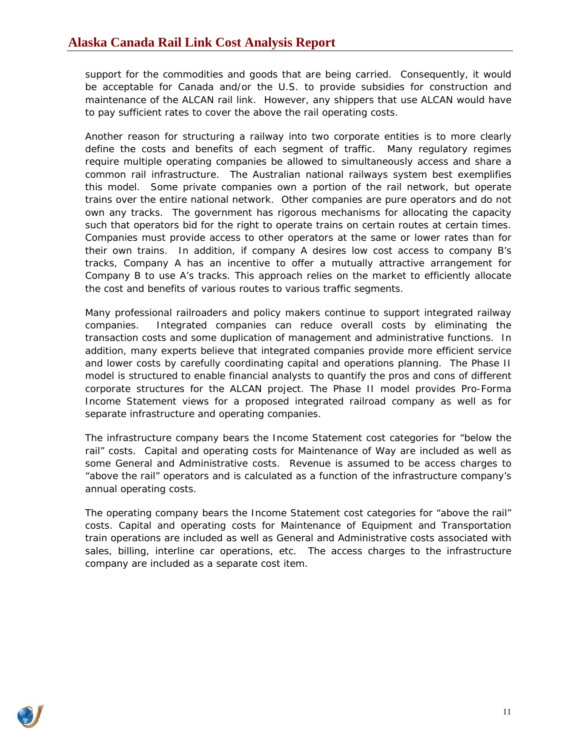support for the commodities and goods that are being carried. Consequently, it would be acceptable for Canada and/or the U.S. to provide subsidies for construction and maintenance of the ALCAN rail link. However, any shippers that use ALCAN would have to pay sufficient rates to cover the above the rail operating costs.

Another reason for structuring a railway into two corporate entities is to more clearly define the costs and benefits of each segment of traffic. Many regulatory regimes require multiple operating companies be allowed to simultaneously access and share a common rail infrastructure. The Australian national railways system best exemplifies this model. Some private companies own a portion of the rail network, but operate trains over the entire national network. Other companies are pure operators and do not own any tracks. The government has rigorous mechanisms for allocating the capacity such that operators bid for the right to operate trains on certain routes at certain times. Companies must provide access to other operators at the same or lower rates than for their own trains. In addition, if company A desires low cost access to company B's tracks, Company A has an incentive to offer a mutually attractive arrangement for Company B to use A's tracks. This approach relies on the market to efficiently allocate the cost and benefits of various routes to various traffic segments.

Many professional railroaders and policy makers continue to support integrated railway companies. Integrated companies can reduce overall costs by eliminating the transaction costs and some duplication of management and administrative functions. In addition, many experts believe that integrated companies provide more efficient service and lower costs by carefully coordinating capital and operations planning. The Phase II model is structured to enable financial analysts to quantify the pros and cons of different corporate structures for the ALCAN project. The Phase II model provides Pro-Forma Income Statement views for a proposed integrated railroad company as well as for separate infrastructure and operating companies.

The infrastructure company bears the Income Statement cost categories for "below the rail" costs. Capital and operating costs for Maintenance of Way are included as well as some General and Administrative costs. Revenue is assumed to be access charges to "above the rail" operators and is calculated as a function of the infrastructure company's annual operating costs.

The operating company bears the Income Statement cost categories for "above the rail" costs. Capital and operating costs for Maintenance of Equipment and Transportation train operations are included as well as General and Administrative costs associated with sales, billing, interline car operations, etc. The access charges to the infrastructure company are included as a separate cost item.

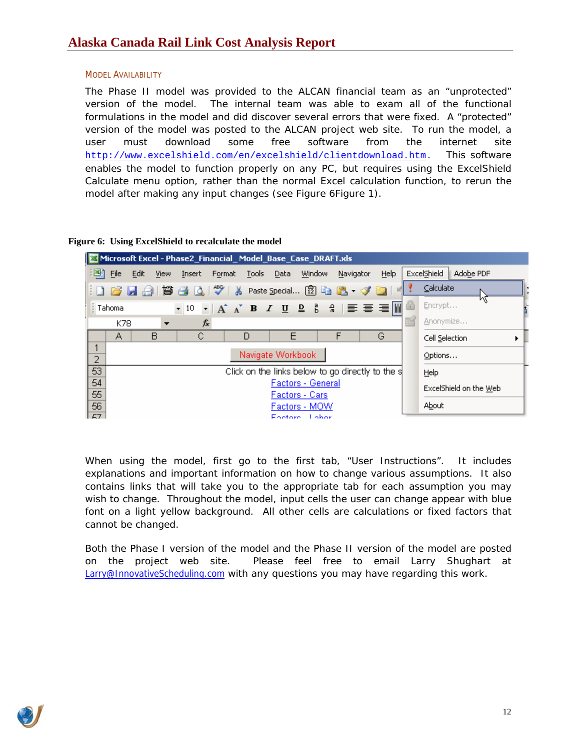## <span id="page-11-0"></span>MODEL AVAILABILITY

The Phase II model was provided to the ALCAN financial team as an "unprotected" version of the model. The internal team was able to exam all of the functional formulations in the model and did discover several errors that were fixed. A "protected" version of the model was posted to the ALCAN project web site. To run the model, a user must download some free software from the internet site <http://www.excelshield.com/en/excelshield/clientdownload.htm>. This software enables the model to function properly on any PC, but requires using the ExcelShield Calculate menu option, rather than the normal Excel calculation function, to rerun the model after making any input changes (see [Figure 6](#page-11-1)[Figure 1\)](#page-5-1).

## <span id="page-11-1"></span>**Figure 6: Using ExcelShield to recalculate the model**



When using the model, first go to the first tab, "User Instructions". It includes explanations and important information on how to change various assumptions. It also contains links that will take you to the appropriate tab for each assumption you may wish to change. Throughout the model, input cells the user can change appear with blue font on a light yellow background. All other cells are calculations or fixed factors that cannot be changed.

Both the Phase I version of the model and the Phase II version of the model are posted on the project web site. Please feel free to email Larry Shughart at [Larry@InnovativeScheduling.com](mailto:Larry@InnovativeScheduling.com) with any questions you may have regarding this work.

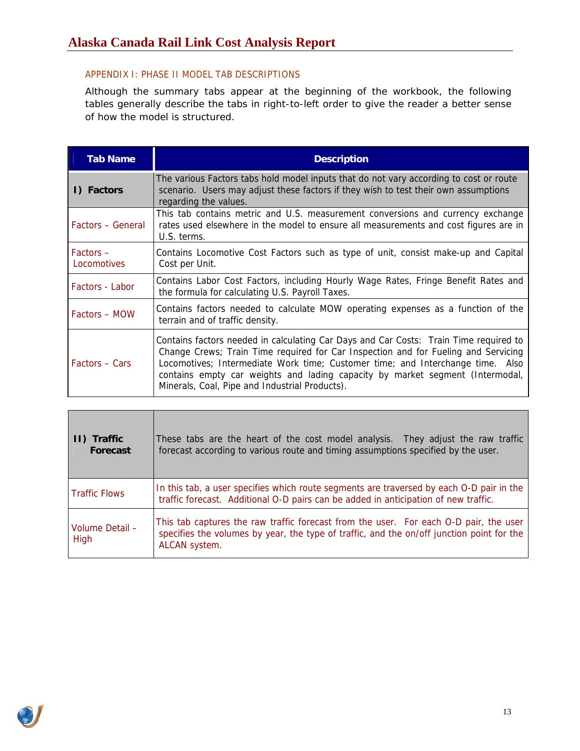## <span id="page-12-0"></span>APPENDIX I: PHASE II MODEL TAB DESCRIPTIONS

Although the summary tabs appear at the beginning of the workbook, the following tables generally describe the tabs in right-to-left order to give the reader a better sense of how the model is structured.

| <b>Tab Name</b>          | <b>Description</b>                                                                                                                                                                                                                                                                                                                                                                               |
|--------------------------|--------------------------------------------------------------------------------------------------------------------------------------------------------------------------------------------------------------------------------------------------------------------------------------------------------------------------------------------------------------------------------------------------|
| I) Factors               | The various Factors tabs hold model inputs that do not vary according to cost or route<br>scenario. Users may adjust these factors if they wish to test their own assumptions<br>regarding the values.                                                                                                                                                                                           |
| <b>Factors - General</b> | This tab contains metric and U.S. measurement conversions and currency exchange<br>rates used elsewhere in the model to ensure all measurements and cost figures are in<br>U.S. terms.                                                                                                                                                                                                           |
| Factors -<br>Locomotives | Contains Locomotive Cost Factors such as type of unit, consist make-up and Capital<br>Cost per Unit.                                                                                                                                                                                                                                                                                             |
| <b>Factors - Labor</b>   | Contains Labor Cost Factors, including Hourly Wage Rates, Fringe Benefit Rates and<br>the formula for calculating U.S. Payroll Taxes.                                                                                                                                                                                                                                                            |
| <b>Factors - MOW</b>     | Contains factors needed to calculate MOW operating expenses as a function of the<br>terrain and of traffic density.                                                                                                                                                                                                                                                                              |
| <b>Factors – Cars</b>    | Contains factors needed in calculating Car Days and Car Costs: Train Time required to<br>Change Crews; Train Time required for Car Inspection and for Fueling and Servicing<br>Locomotives; Intermediate Work time; Customer time; and Interchange time. Also<br>contains empty car weights and lading capacity by market segment (Intermodal,<br>Minerals, Coal, Pipe and Industrial Products). |

| II) Traffic<br><b>Forecast</b> | These tabs are the heart of the cost model analysis. They adjust the raw traffic<br>forecast according to various route and timing assumptions specified by the user.                               |
|--------------------------------|-----------------------------------------------------------------------------------------------------------------------------------------------------------------------------------------------------|
| <b>Traffic Flows</b>           | In this tab, a user specifies which route segments are traversed by each O-D pair in the<br>traffic forecast. Additional O-D pairs can be added in anticipation of new traffic.                     |
| Volume Detail -<br>High        | This tab captures the raw traffic forecast from the user. For each O-D pair, the user<br>specifies the volumes by year, the type of traffic, and the on/off junction point for the<br>ALCAN system. |

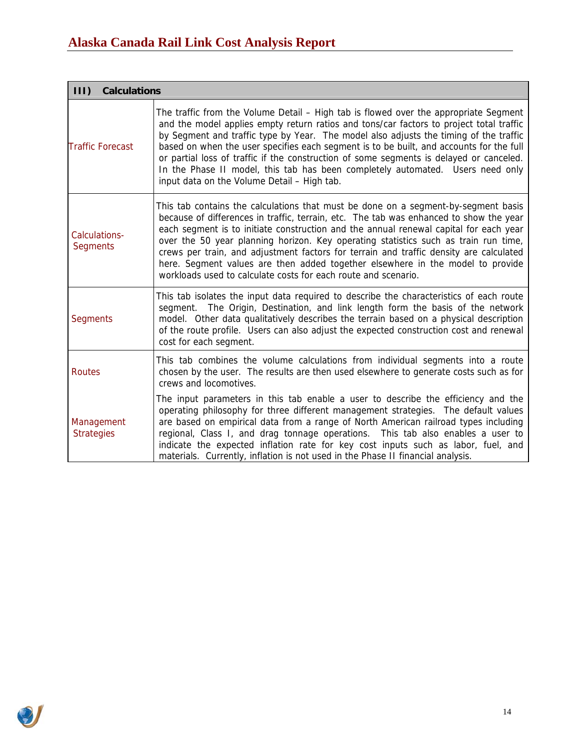| 111<br><b>Calculations</b>       |                                                                                                                                                                                                                                                                                                                                                                                                                                                                                                                                                                                                            |
|----------------------------------|------------------------------------------------------------------------------------------------------------------------------------------------------------------------------------------------------------------------------------------------------------------------------------------------------------------------------------------------------------------------------------------------------------------------------------------------------------------------------------------------------------------------------------------------------------------------------------------------------------|
| <b>Traffic Forecast</b>          | The traffic from the Volume Detail – High tab is flowed over the appropriate Segment<br>and the model applies empty return ratios and tons/car factors to project total traffic<br>by Segment and traffic type by Year. The model also adjusts the timing of the traffic<br>based on when the user specifies each segment is to be built, and accounts for the full<br>or partial loss of traffic if the construction of some segments is delayed or canceled.<br>In the Phase II model, this tab has been completely automated. Users need only<br>input data on the Volume Detail - High tab.            |
| Calculations-<br><b>Segments</b> | This tab contains the calculations that must be done on a segment-by-segment basis<br>because of differences in traffic, terrain, etc. The tab was enhanced to show the year<br>each segment is to initiate construction and the annual renewal capital for each year<br>over the 50 year planning horizon. Key operating statistics such as train run time,<br>crews per train, and adjustment factors for terrain and traffic density are calculated<br>here. Segment values are then added together elsewhere in the model to provide<br>workloads used to calculate costs for each route and scenario. |
| <b>Segments</b>                  | This tab isolates the input data required to describe the characteristics of each route<br>segment. The Origin, Destination, and link length form the basis of the network<br>model. Other data qualitatively describes the terrain based on a physical description<br>of the route profile. Users can also adjust the expected construction cost and renewal<br>cost for each segment.                                                                                                                                                                                                                    |
| Routes                           | This tab combines the volume calculations from individual segments into a route<br>chosen by the user. The results are then used elsewhere to generate costs such as for<br>crews and locomotives.                                                                                                                                                                                                                                                                                                                                                                                                         |
| Management<br><b>Strategies</b>  | The input parameters in this tab enable a user to describe the efficiency and the<br>operating philosophy for three different management strategies. The default values<br>are based on empirical data from a range of North American railroad types including<br>regional, Class I, and drag tonnage operations. This tab also enables a user to<br>indicate the expected inflation rate for key cost inputs such as labor, fuel, and<br>materials. Currently, inflation is not used in the Phase II financial analysis.                                                                                  |

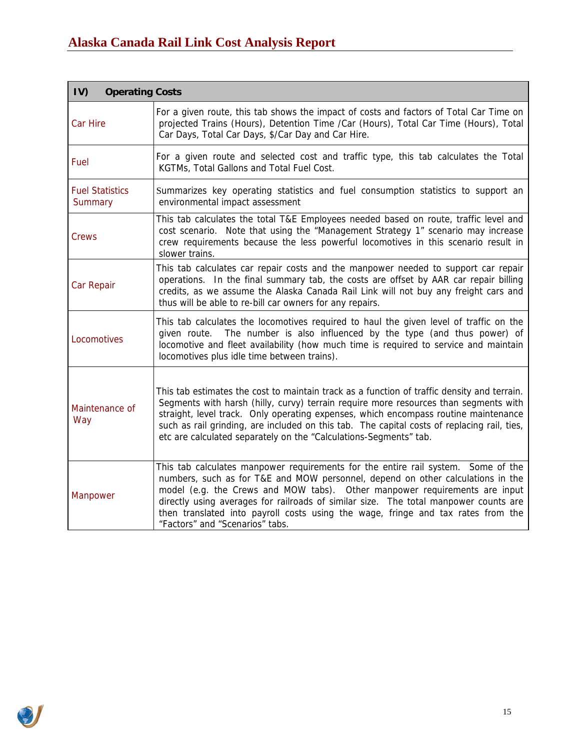| IV)<br><b>Operating Costs</b>     |                                                                                                                                                                                                                                                                                                                                                                                                                                                                   |
|-----------------------------------|-------------------------------------------------------------------------------------------------------------------------------------------------------------------------------------------------------------------------------------------------------------------------------------------------------------------------------------------------------------------------------------------------------------------------------------------------------------------|
| <b>Car Hire</b>                   | For a given route, this tab shows the impact of costs and factors of Total Car Time on<br>projected Trains (Hours), Detention Time /Car (Hours), Total Car Time (Hours), Total<br>Car Days, Total Car Days, \$/Car Day and Car Hire.                                                                                                                                                                                                                              |
| Fuel                              | For a given route and selected cost and traffic type, this tab calculates the Total<br>KGTMs, Total Gallons and Total Fuel Cost.                                                                                                                                                                                                                                                                                                                                  |
| <b>Fuel Statistics</b><br>Summary | Summarizes key operating statistics and fuel consumption statistics to support an<br>environmental impact assessment                                                                                                                                                                                                                                                                                                                                              |
| Crews                             | This tab calculates the total T&E Employees needed based on route, traffic level and<br>cost scenario. Note that using the "Management Strategy 1" scenario may increase<br>crew requirements because the less powerful locomotives in this scenario result in<br>slower trains.                                                                                                                                                                                  |
| <b>Car Repair</b>                 | This tab calculates car repair costs and the manpower needed to support car repair<br>operations. In the final summary tab, the costs are offset by AAR car repair billing<br>credits, as we assume the Alaska Canada Rail Link will not buy any freight cars and<br>thus will be able to re-bill car owners for any repairs.                                                                                                                                     |
| Locomotives                       | This tab calculates the locomotives required to haul the given level of traffic on the<br>given route. The number is also influenced by the type (and thus power) of<br>locomotive and fleet availability (how much time is required to service and maintain<br>locomotives plus idle time between trains).                                                                                                                                                       |
| Maintenance of<br>Way             | This tab estimates the cost to maintain track as a function of traffic density and terrain.<br>Segments with harsh (hilly, curvy) terrain require more resources than segments with<br>straight, level track. Only operating expenses, which encompass routine maintenance<br>such as rail grinding, are included on this tab. The capital costs of replacing rail, ties,<br>etc are calculated separately on the "Calculations-Segments" tab.                    |
| Manpower                          | This tab calculates manpower requirements for the entire rail system. Some of the<br>numbers, such as for T&E and MOW personnel, depend on other calculations in the<br>model (e.g. the Crews and MOW tabs). Other manpower requirements are input<br>directly using averages for railroads of similar size. The total manpower counts are<br>then translated into payroll costs using the wage, fringe and tax rates from the<br>"Factors" and "Scenarios" tabs. |

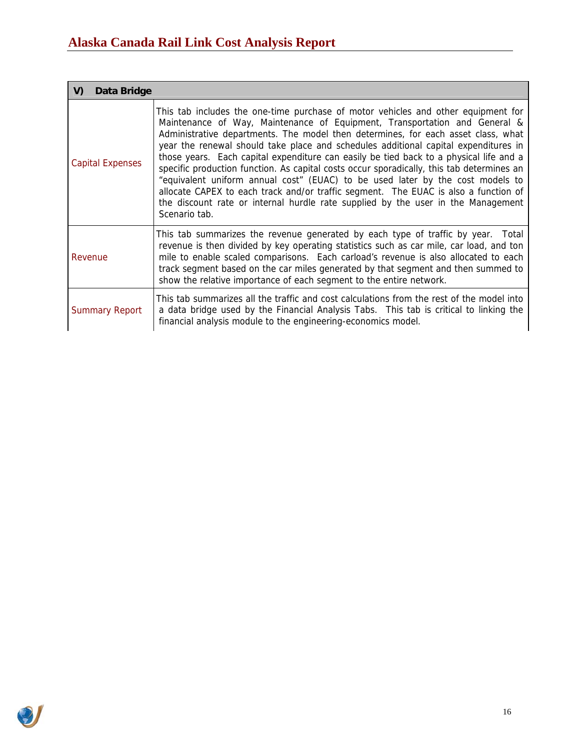| Data Bridge<br>V)       |                                                                                                                                                                                                                                                                                                                                                                                                                                                                                                                                                                                                                                                                                                                                                                                                                  |
|-------------------------|------------------------------------------------------------------------------------------------------------------------------------------------------------------------------------------------------------------------------------------------------------------------------------------------------------------------------------------------------------------------------------------------------------------------------------------------------------------------------------------------------------------------------------------------------------------------------------------------------------------------------------------------------------------------------------------------------------------------------------------------------------------------------------------------------------------|
| <b>Capital Expenses</b> | This tab includes the one-time purchase of motor vehicles and other equipment for<br>Maintenance of Way, Maintenance of Equipment, Transportation and General &<br>Administrative departments. The model then determines, for each asset class, what<br>year the renewal should take place and schedules additional capital expenditures in<br>those years. Each capital expenditure can easily be tied back to a physical life and a<br>specific production function. As capital costs occur sporadically, this tab determines an<br>"equivalent uniform annual cost" (EUAC) to be used later by the cost models to<br>allocate CAPEX to each track and/or traffic segment. The EUAC is also a function of<br>the discount rate or internal hurdle rate supplied by the user in the Management<br>Scenario tab. |
| Revenue                 | This tab summarizes the revenue generated by each type of traffic by year. Total<br>revenue is then divided by key operating statistics such as car mile, car load, and ton<br>mile to enable scaled comparisons. Each carload's revenue is also allocated to each<br>track segment based on the car miles generated by that segment and then summed to<br>show the relative importance of each segment to the entire network.                                                                                                                                                                                                                                                                                                                                                                                   |
| <b>Summary Report</b>   | This tab summarizes all the traffic and cost calculations from the rest of the model into<br>a data bridge used by the Financial Analysis Tabs. This tab is critical to linking the<br>financial analysis module to the engineering-economics model.                                                                                                                                                                                                                                                                                                                                                                                                                                                                                                                                                             |

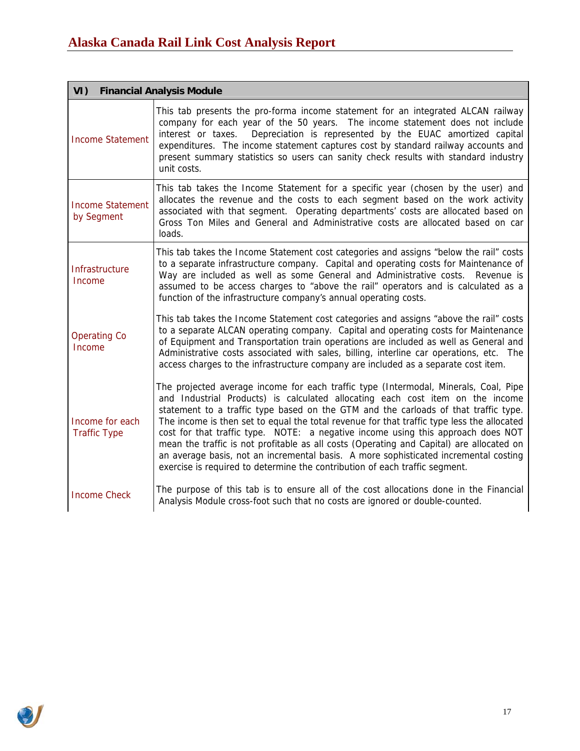| VI)                                    | <b>Financial Analysis Module</b>                                                                                                                                                                                                                                                                                                                                                                                                                                                                                                                                                                                                                                                                                   |
|----------------------------------------|--------------------------------------------------------------------------------------------------------------------------------------------------------------------------------------------------------------------------------------------------------------------------------------------------------------------------------------------------------------------------------------------------------------------------------------------------------------------------------------------------------------------------------------------------------------------------------------------------------------------------------------------------------------------------------------------------------------------|
| <b>Income Statement</b>                | This tab presents the pro-forma income statement for an integrated ALCAN railway<br>company for each year of the 50 years. The income statement does not include<br>Depreciation is represented by the EUAC amortized capital<br>interest or taxes.<br>expenditures. The income statement captures cost by standard railway accounts and<br>present summary statistics so users can sanity check results with standard industry<br>unit costs.                                                                                                                                                                                                                                                                     |
| <b>Income Statement</b><br>by Segment  | This tab takes the Income Statement for a specific year (chosen by the user) and<br>allocates the revenue and the costs to each segment based on the work activity<br>associated with that segment. Operating departments' costs are allocated based on<br>Gross Ton Miles and General and Administrative costs are allocated based on car<br>loads.                                                                                                                                                                                                                                                                                                                                                               |
| Infrastructure<br>Income               | This tab takes the Income Statement cost categories and assigns "below the rail" costs<br>to a separate infrastructure company. Capital and operating costs for Maintenance of<br>Way are included as well as some General and Administrative costs. Revenue is<br>assumed to be access charges to "above the rail" operators and is calculated as a<br>function of the infrastructure company's annual operating costs.                                                                                                                                                                                                                                                                                           |
| <b>Operating Co</b><br>Income          | This tab takes the Income Statement cost categories and assigns "above the rail" costs<br>to a separate ALCAN operating company. Capital and operating costs for Maintenance<br>of Equipment and Transportation train operations are included as well as General and<br>Administrative costs associated with sales, billing, interline car operations, etc. The<br>access charges to the infrastructure company are included as a separate cost item.                                                                                                                                                                                                                                                              |
| Income for each<br><b>Traffic Type</b> | The projected average income for each traffic type (Intermodal, Minerals, Coal, Pipe<br>and Industrial Products) is calculated allocating each cost item on the income<br>statement to a traffic type based on the GTM and the carloads of that traffic type.<br>The income is then set to equal the total revenue for that traffic type less the allocated<br>cost for that traffic type. NOTE: a negative income using this approach does NOT<br>mean the traffic is not profitable as all costs (Operating and Capital) are allocated on<br>an average basis, not an incremental basis. A more sophisticated incremental costing<br>exercise is required to determine the contribution of each traffic segment. |
| <b>Income Check</b>                    | The purpose of this tab is to ensure all of the cost allocations done in the Financial<br>Analysis Module cross-foot such that no costs are ignored or double-counted.                                                                                                                                                                                                                                                                                                                                                                                                                                                                                                                                             |

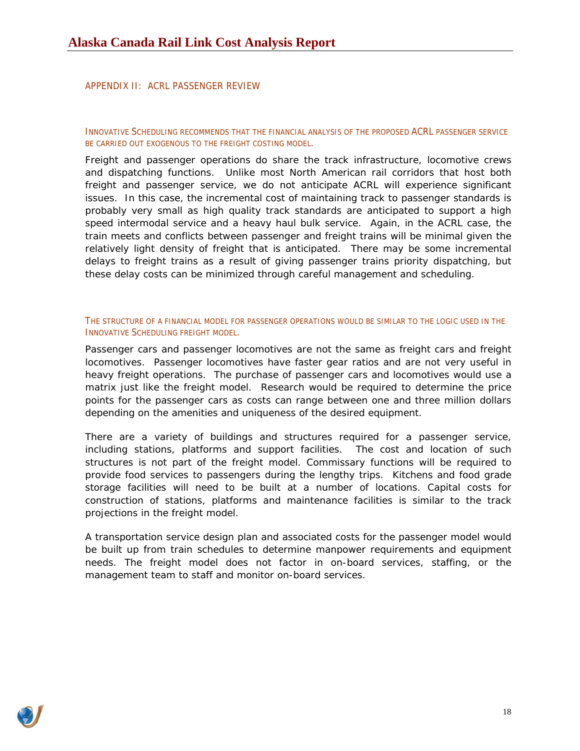## <span id="page-17-0"></span>APPENDIX II: ACRL PASSENGER REVIEW

INNOVATIVE SCHEDULING RECOMMENDS THAT THE FINANCIAL ANALYSIS OF THE PROPOSED ACRL PASSENGER SERVICE BE CARRIED OUT EXOGENOUS TO THE FREIGHT COSTING MODEL.

Freight and passenger operations do share the track infrastructure, locomotive crews and dispatching functions. Unlike most North American rail corridors that host both freight and passenger service, we do not anticipate ACRL will experience significant issues. In this case, the incremental cost of maintaining track to passenger standards is probably very small as high quality track standards are anticipated to support a high speed intermodal service and a heavy haul bulk service. Again, in the ACRL case, the train meets and conflicts between passenger and freight trains will be minimal given the relatively light density of freight that is anticipated. There may be some incremental delays to freight trains as a result of giving passenger trains priority dispatching, but these delay costs can be minimized through careful management and scheduling.

### THE STRUCTURE OF A FINANCIAL MODEL FOR PASSENGER OPERATIONS WOULD BE SIMILAR TO THE LOGIC USED IN THE INNOVATIVE SCHEDULING FREIGHT MODEL.

Passenger cars and passenger locomotives are not the same as freight cars and freight locomotives. Passenger locomotives have faster gear ratios and are not very useful in heavy freight operations. The purchase of passenger cars and locomotives would use a matrix just like the freight model. Research would be required to determine the price points for the passenger cars as costs can range between one and three million dollars depending on the amenities and uniqueness of the desired equipment.

There are a variety of buildings and structures required for a passenger service, including stations, platforms and support facilities. The cost and location of such structures is not part of the freight model. Commissary functions will be required to provide food services to passengers during the lengthy trips. Kitchens and food grade storage facilities will need to be built at a number of locations. Capital costs for construction of stations, platforms and maintenance facilities is similar to the track projections in the freight model.

A transportation service design plan and associated costs for the passenger model would be built up from train schedules to determine manpower requirements and equipment needs. The freight model does not factor in on-board services, staffing, or the management team to staff and monitor on-board services.